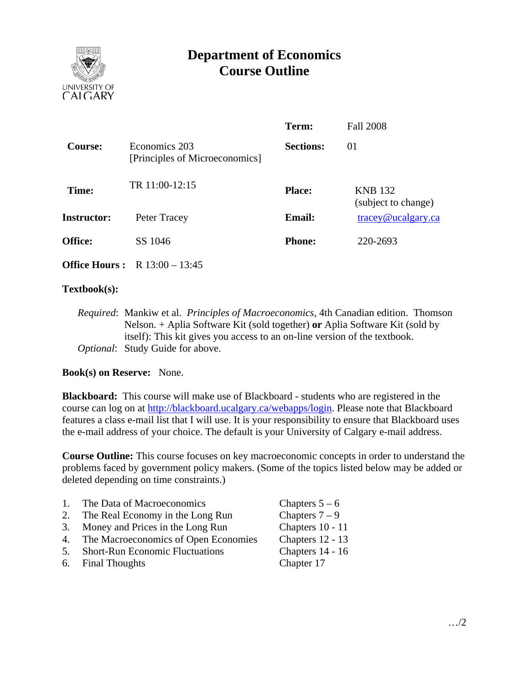

# **Department of Economics Course Outline**

|                    |                                                 | Term:            | <b>Fall 2008</b>                      |
|--------------------|-------------------------------------------------|------------------|---------------------------------------|
| <b>Course:</b>     | Economics 203<br>[Principles of Microeconomics] | <b>Sections:</b> | $_{01}$                               |
| Time:              | TR 11:00-12:15                                  | <b>Place:</b>    | <b>KNB</b> 132<br>(subject to change) |
| <b>Instructor:</b> | Peter Tracey                                    | <b>Email:</b>    | $trace$ y@ucalgary.ca                 |
| Office:            | SS 1046                                         | <b>Phone:</b>    | 220-2693                              |

**Office Hours :** R 13:00 – 13:45

#### **Textbook(s):**

*Required*: Mankiw et al. *Principles of Macroeconomics*, 4th Canadian edition. Thomson Nelson. + Aplia Software Kit (sold together) **or** Aplia Software Kit (sold by itself): This kit gives you access to an on-line version of the textbook. *Optional*: Study Guide for above.

#### **Book(s) on Reserve:** None.

**Blackboard:** This course will make use of Blackboard - students who are registered in the course can log on at http://blackboard.ucalgary.ca/webapps/login. Please note that Blackboard features a class e-mail list that I will use. It is your responsibility to ensure that Blackboard uses the e-mail address of your choice. The default is your University of Calgary e-mail address.

**Course Outline:** This course focuses on key macroeconomic concepts in order to understand the problems faced by government policy makers. (Some of the topics listed below may be added or deleted depending on time constraints.)

| $\mathbf{1}$ . | The Data of Macroeconomics             | Chapters $5-6$     |
|----------------|----------------------------------------|--------------------|
| 2.             | The Real Economy in the Long Run       | Chapters $7-9$     |
| 3.             | Money and Prices in the Long Run       | Chapters 10 - 11   |
| 4.             | The Macroeconomics of Open Economies   | Chapters $12 - 13$ |
| 5.             | <b>Short-Run Economic Fluctuations</b> | Chapters 14 - 16   |

6. Final Thoughts Chapter 17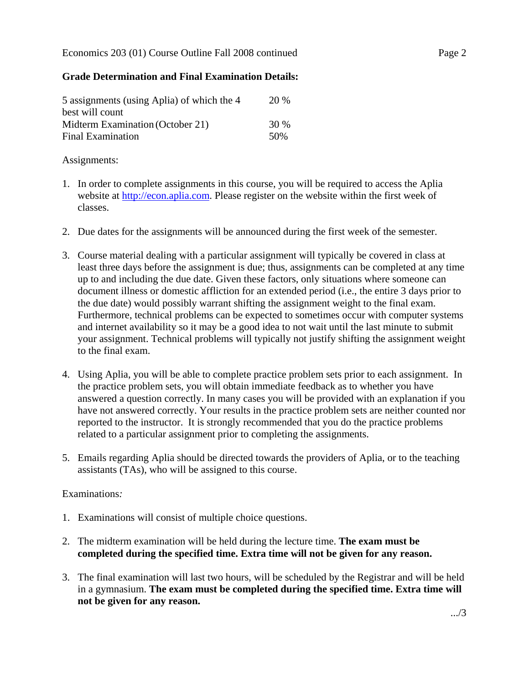# **Grade Determination and Final Examination Details:**

| 5 assignments (using Aplia) of which the 4 | 20 % |
|--------------------------------------------|------|
| best will count                            |      |
| Midterm Examination (October 21)           | 30 % |
| <b>Final Examination</b>                   | 50%  |

### Assignments:

- 1. In order to complete assignments in this course, you will be required to access the Aplia website at http://econ.aplia.com. Please register on the website within the first week of classes.
- 2. Due dates for the assignments will be announced during the first week of the semester.
- 3. Course material dealing with a particular assignment will typically be covered in class at least three days before the assignment is due; thus, assignments can be completed at any time up to and including the due date. Given these factors, only situations where someone can document illness or domestic affliction for an extended period (i.e., the entire 3 days prior to the due date) would possibly warrant shifting the assignment weight to the final exam. Furthermore, technical problems can be expected to sometimes occur with computer systems and internet availability so it may be a good idea to not wait until the last minute to submit your assignment. Technical problems will typically not justify shifting the assignment weight to the final exam.
- 4. Using Aplia, you will be able to complete practice problem sets prior to each assignment. In the practice problem sets, you will obtain immediate feedback as to whether you have answered a question correctly. In many cases you will be provided with an explanation if you have not answered correctly. Your results in the practice problem sets are neither counted nor reported to the instructor. It is strongly recommended that you do the practice problems related to a particular assignment prior to completing the assignments.
- 5. Emails regarding Aplia should be directed towards the providers of Aplia, or to the teaching assistants (TAs), who will be assigned to this course.

# Examinations*:*

- 1. Examinations will consist of multiple choice questions.
- 2. The midterm examination will be held during the lecture time. **The exam must be completed during the specified time. Extra time will not be given for any reason.**
- 3. The final examination will last two hours, will be scheduled by the Registrar and will be held in a gymnasium. **The exam must be completed during the specified time. Extra time will not be given for any reason.**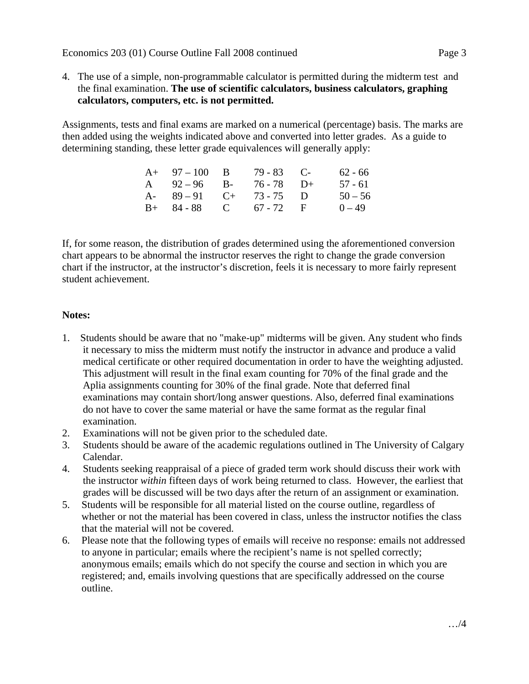4. The use of a simple, non-programmable calculator is permitted during the midterm test and the final examination. **The use of scientific calculators, business calculators, graphing calculators, computers, etc. is not permitted.**

Assignments, tests and final exams are marked on a numerical (percentage) basis. The marks are then added using the weights indicated above and converted into letter grades. As a guide to determining standing, these letter grade equivalences will generally apply:

| $A+ 97-100 B$           | $79 - 83$ C- | 62 - 66   |
|-------------------------|--------------|-----------|
| A $92-96$ B- $76-78$ D+ |              | 57 - 61   |
| A- $89-91$ C+ 73-75 D   |              | $50 - 56$ |
| $B+ 84-88$ C 67-72 F    |              | $0 - 49$  |

If, for some reason, the distribution of grades determined using the aforementioned conversion chart appears to be abnormal the instructor reserves the right to change the grade conversion chart if the instructor, at the instructor's discretion, feels it is necessary to more fairly represent student achievement.

## **Notes:**

- 1. Students should be aware that no "make-up" midterms will be given. Any student who finds it necessary to miss the midterm must notify the instructor in advance and produce a valid medical certificate or other required documentation in order to have the weighting adjusted. This adjustment will result in the final exam counting for 70% of the final grade and the Aplia assignments counting for 30% of the final grade. Note that deferred final examinations may contain short/long answer questions. Also, deferred final examinations do not have to cover the same material or have the same format as the regular final examination.
- 2. Examinations will not be given prior to the scheduled date.
- 3. Students should be aware of the academic regulations outlined in The University of Calgary Calendar.
- 4. Students seeking reappraisal of a piece of graded term work should discuss their work with the instructor *within* fifteen days of work being returned to class. However, the earliest that grades will be discussed will be two days after the return of an assignment or examination.
- 5. Students will be responsible for all material listed on the course outline, regardless of whether or not the material has been covered in class, unless the instructor notifies the class that the material will not be covered.
- 6. Please note that the following types of emails will receive no response: emails not addressed to anyone in particular; emails where the recipient's name is not spelled correctly; anonymous emails; emails which do not specify the course and section in which you are registered; and, emails involving questions that are specifically addressed on the course outline.